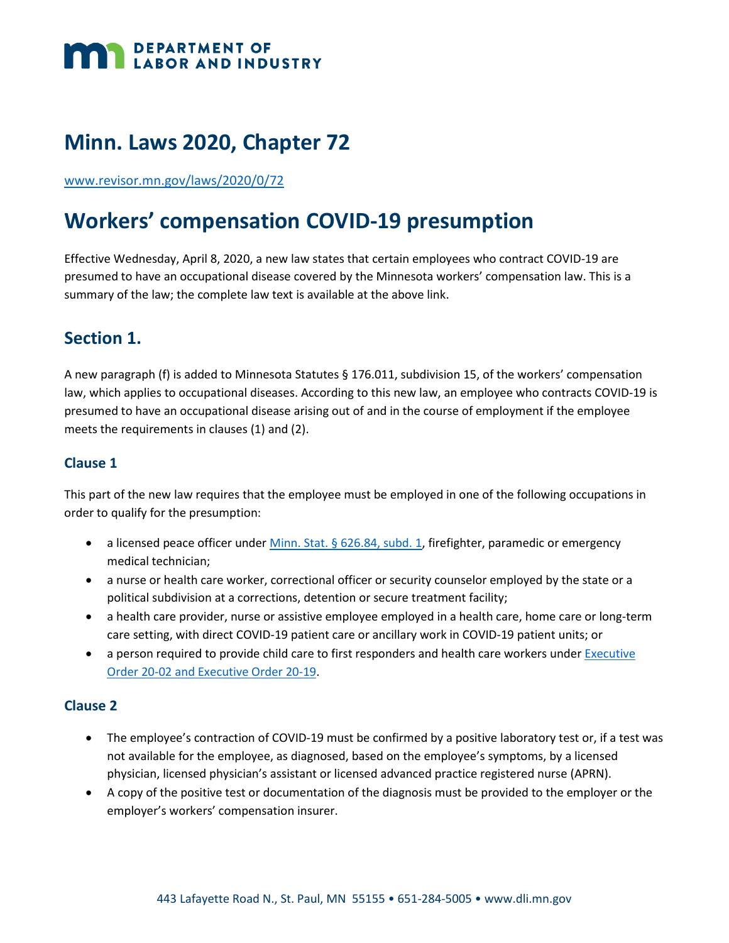# **DEPARTMENT OF LABOR AND INDUSTRY**

# **Minn. Laws 2020, Chapter 72**

[www.revisor.mn.gov/laws/2020/0/72](http://www.revisor.mn.gov/laws/2020/0/72/)

# **Workers' compensation COVID-19 presumption**

Effective Wednesday, April 8, 2020, a new law states that certain employees who contract COVID-19 are presumed to have an occupational disease covered by the Minnesota workers' compensation law. This is a summary of the law; the complete law text is available at the above link.

# **Section 1.**

A new paragraph (f) is added to Minnesota Statutes § 176.011, subdivision 15, of the workers' compensation law, which applies to occupational diseases. According to this new law, an employee who contracts COVID-19 is presumed to have an occupational disease arising out of and in the course of employment if the employee meets the requirements in clauses (1) and (2).

#### **Clause 1**

This part of the new law requires that the employee must be employed in one of the following occupations in order to qualify for the presumption:

- a licensed peace officer under Minn. Stat. § [626.84, subd.](https://www.revisor.mn.gov/statutes/cite/626.84) 1, firefighter, paramedic or emergency medical technician;
- a nurse or health care worker, correctional officer or security counselor employed by the state or a political subdivision at a corrections, detention or secure treatment facility;
- a health care provider, nurse or assistive employee employed in a health care, home care or long-term care setting, with direct COVID-19 patient care or ancillary work in COVID-19 patient units; or
- a person required to provide child care to first responders and health care workers under **Executive** [Order 20-02 and Executive Order 20-19.](https://mn.gov/governor/news/executiveorders.jsp)

#### **Clause 2**

- The employee's contraction of COVID-19 must be confirmed by a positive laboratory test or, if a test was not available for the employee, as diagnosed, based on the employee's symptoms, by a licensed physician, licensed physician's assistant or licensed advanced practice registered nurse (APRN).
- A copy of the positive test or documentation of the diagnosis must be provided to the employer or the employer's workers' compensation insurer.